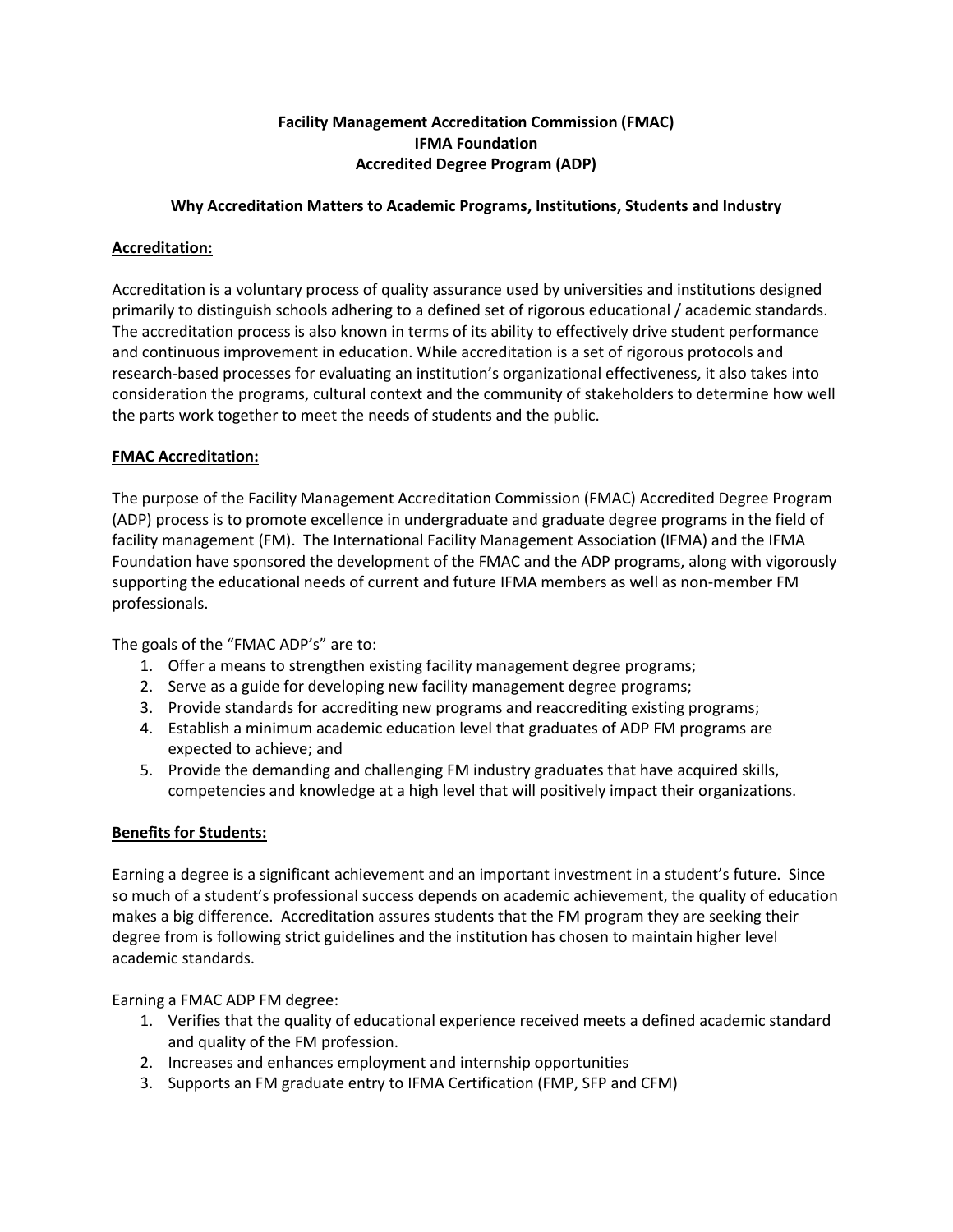# **Facility Management Accreditation Commission (FMAC) IFMA Foundation Accredited Degree Program (ADP)**

### **Why Accreditation Matters to Academic Programs, Institutions, Students and Industry**

### **Accreditation:**

Accreditation is a voluntary process of quality assurance used by universities and institutions designed primarily to distinguish schools adhering to a defined set of rigorous educational / academic standards. The accreditation process is also known in terms of its ability to effectively drive student performance and continuous improvement in education. While accreditation is a set of rigorous protocols and research-based processes for evaluating an institution's organizational effectiveness, it also takes into consideration the programs, cultural context and the community of stakeholders to determine how well the parts work together to meet the needs of students and the public.

#### **FMAC Accreditation:**

The purpose of the Facility Management Accreditation Commission (FMAC) Accredited Degree Program (ADP) process is to promote excellence in undergraduate and graduate degree programs in the field of facility management (FM). The International Facility Management Association (IFMA) and the IFMA Foundation have sponsored the development of the FMAC and the ADP programs, along with vigorously supporting the educational needs of current and future IFMA members as well as non-member FM professionals.

The goals of the "FMAC ADP's" are to:

- 1. Offer a means to strengthen existing facility management degree programs;
- 2. Serve as a guide for developing new facility management degree programs;
- 3. Provide standards for accrediting new programs and reaccrediting existing programs;
- 4. Establish a minimum academic education level that graduates of ADP FM programs are expected to achieve; and
- 5. Provide the demanding and challenging FM industry graduates that have acquired skills, competencies and knowledge at a high level that will positively impact their organizations.

#### **Benefits for Students:**

Earning a degree is a significant achievement and an important investment in a student's future. Since so much of a student's professional success depends on academic achievement, the quality of education makes a big difference. Accreditation assures students that the FM program they are seeking their degree from is following strict guidelines and the institution has chosen to maintain higher level academic standards.

Earning a FMAC ADP FM degree:

- 1. Verifies that the quality of educational experience received meets a defined academic standard and quality of the FM profession.
- 2. Increases and enhances employment and internship opportunities
- 3. Supports an FM graduate entry to IFMA Certification (FMP, SFP and CFM)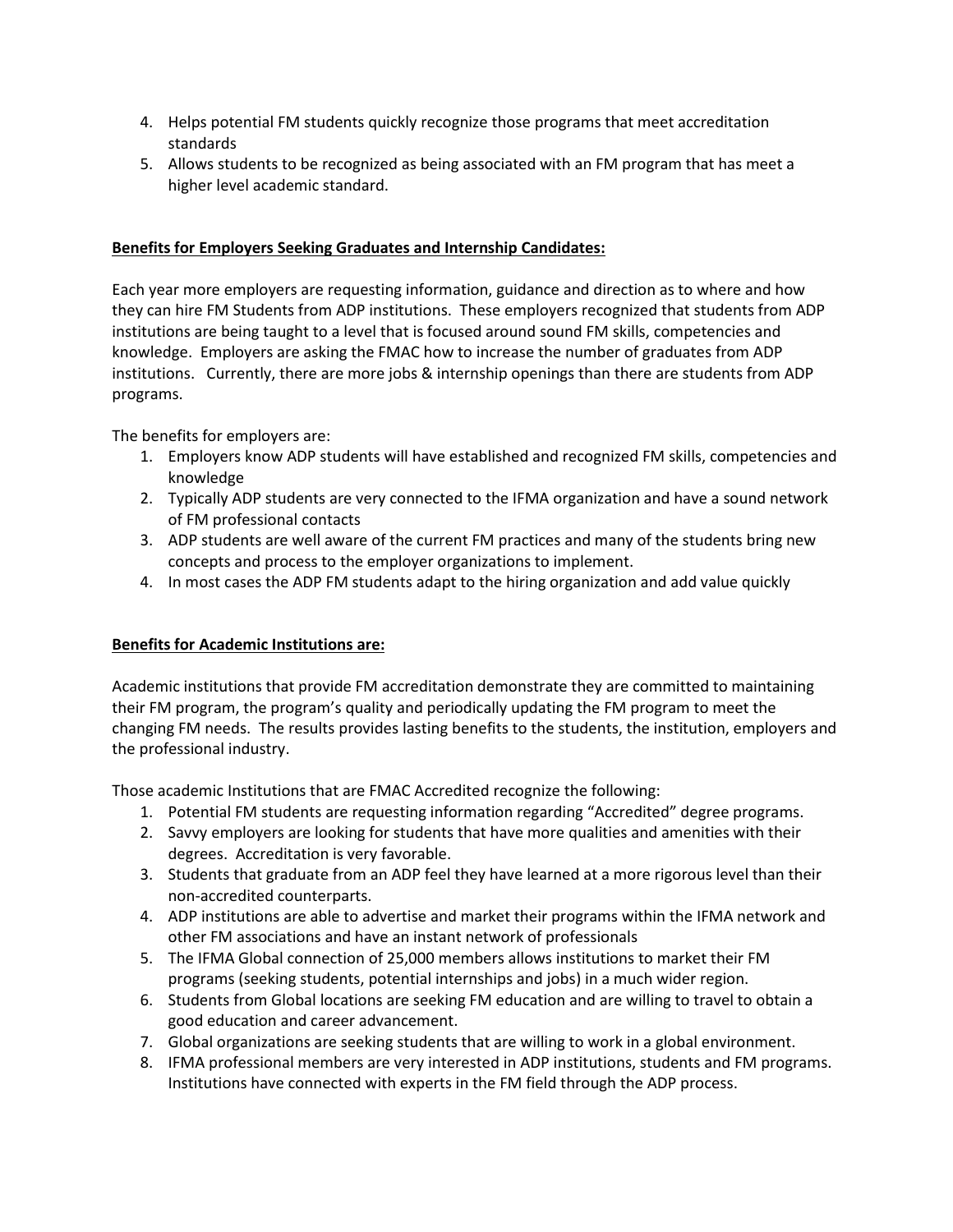- 4. Helps potential FM students quickly recognize those programs that meet accreditation standards
- 5. Allows students to be recognized as being associated with an FM program that has meet a higher level academic standard.

# **Benefits for Employers Seeking Graduates and Internship Candidates:**

Each year more employers are requesting information, guidance and direction as to where and how they can hire FM Students from ADP institutions. These employers recognized that students from ADP institutions are being taught to a level that is focused around sound FM skills, competencies and knowledge. Employers are asking the FMAC how to increase the number of graduates from ADP institutions. Currently, there are more jobs & internship openings than there are students from ADP programs.

The benefits for employers are:

- 1. Employers know ADP students will have established and recognized FM skills, competencies and knowledge
- 2. Typically ADP students are very connected to the IFMA organization and have a sound network of FM professional contacts
- 3. ADP students are well aware of the current FM practices and many of the students bring new concepts and process to the employer organizations to implement.
- 4. In most cases the ADP FM students adapt to the hiring organization and add value quickly

# **Benefits for Academic Institutions are:**

Academic institutions that provide FM accreditation demonstrate they are committed to maintaining their FM program, the program's quality and periodically updating the FM program to meet the changing FM needs. The results provides lasting benefits to the students, the institution, employers and the professional industry.

Those academic Institutions that are FMAC Accredited recognize the following:

- 1. Potential FM students are requesting information regarding "Accredited" degree programs.
- 2. Savvy employers are looking for students that have more qualities and amenities with their degrees. Accreditation is very favorable.
- 3. Students that graduate from an ADP feel they have learned at a more rigorous level than their non-accredited counterparts.
- 4. ADP institutions are able to advertise and market their programs within the IFMA network and other FM associations and have an instant network of professionals
- 5. The IFMA Global connection of 25,000 members allows institutions to market their FM programs (seeking students, potential internships and jobs) in a much wider region.
- 6. Students from Global locations are seeking FM education and are willing to travel to obtain a good education and career advancement.
- 7. Global organizations are seeking students that are willing to work in a global environment.
- 8. IFMA professional members are very interested in ADP institutions, students and FM programs. Institutions have connected with experts in the FM field through the ADP process.